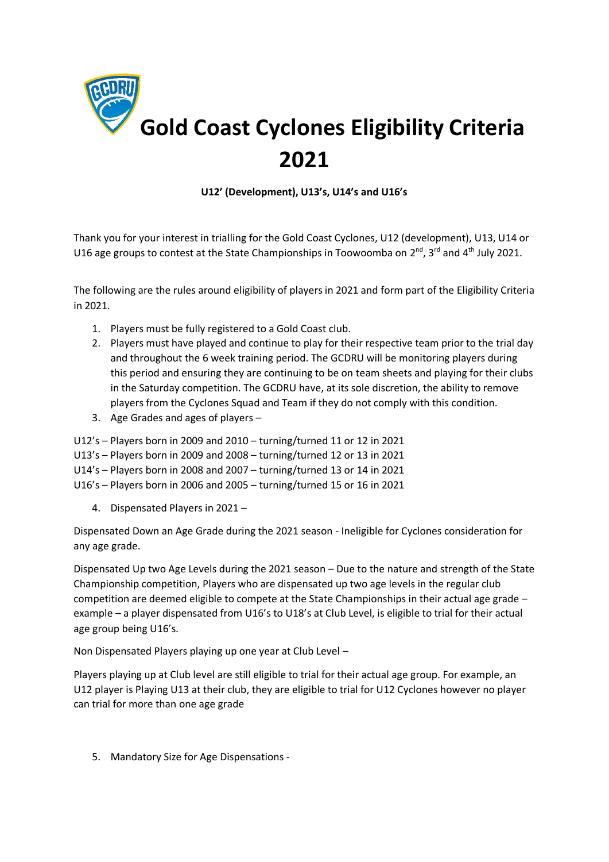

**U12' (Development), U13's, U14's and U16's**

Thank you for your interest in trialling for the Gold Coast Cyclones, U12 (development), U13, U14 or U16 age groups to contest at the State Championships in Toowoomba on 2<sup>nd</sup>, 3<sup>rd</sup> and 4<sup>th</sup> July 2021.

The following are the rules around eligibility of players in 2021 and form part of the Eligibility Criteria in 2021.

- 1. Players must be fully registered to a Gold Coast club.
- 2. Players must have played and continue to play for their respective team prior to the trial day and throughout the 6 week training period. The GCDRU will be monitoring players during this period and ensuring they are continuing to be on team sheets and playing for their clubs in the Saturday competition. The GCDRU have, at its sole discretion, the ability to remove players from the Cyclones Squad and Team if they do not comply with this condition.
- 3. Age Grades and ages of players –
- U12's Players born in 2009 and 2010 turning/turned 11 or 12 in 2021
- U13's Players born in 2009 and 2008 turning/turned 12 or 13 in 2021
- U14's Players born in 2008 and 2007 turning/turned 13 or 14 in 2021
- U16's Players born in 2006 and 2005 turning/turned 15 or 16 in 2021
	- 4. Dispensated Players in 2021 –

Dispensated Down an Age Grade during the 2021 season - Ineligible for Cyclones consideration for any age grade.

Dispensated Up two Age Levels during the 2021 season – Due to the nature and strength of the State Championship competition, Players who are dispensated up two age levels in the regular club competition are deemed eligible to compete at the State Championships in their actual age grade – example – a player dispensated from U16's to U18's at Club Level, is eligible to trial for their actual age group being U16's.

Non Dispensated Players playing up one year at Club Level –

Players playing up at Club level are still eligible to trial for their actual age group. For example, an U12 player is Playing U13 at their club, they are eligible to trial for U12 Cyclones however no player can trial for more than one age grade

5. Mandatory Size for Age Dispensations -